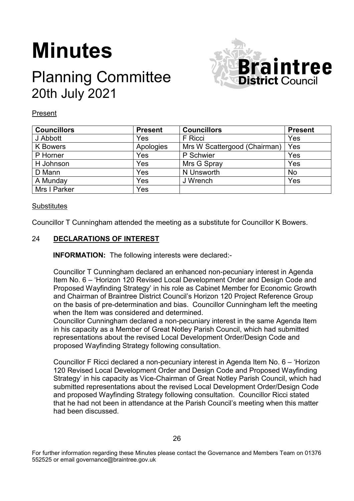# **Minutes**

# Planning Committee 20th July 2021



Present

| <b>Councillors</b> | <b>Present</b> | <b>Councillors</b>           | <b>Present</b> |
|--------------------|----------------|------------------------------|----------------|
| J Abbott           | Yes            | F Ricci                      | Yes            |
| <b>K</b> Bowers    | Apologies      | Mrs W Scattergood (Chairman) | Yes            |
| P Horner           | Yes            | P Schwier                    | Yes            |
| H Johnson          | Yes            | Mrs G Spray                  | Yes            |
| D Mann             | Yes            | N Unsworth                   | <b>No</b>      |
| A Munday           | Yes            | J Wrench                     | Yes            |
| Mrs I Parker       | Yes            |                              |                |

# **Substitutes**

Councillor T Cunningham attended the meeting as a substitute for Councillor K Bowers.

# 24 **DECLARATIONS OF INTEREST**

**INFORMATION:** The following interests were declared:-

Councillor T Cunningham declared an enhanced non-pecuniary interest in Agenda Item No. 6 – 'Horizon 120 Revised Local Development Order and Design Code and Proposed Wayfinding Strategy' in his role as Cabinet Member for Economic Growth and Chairman of Braintree District Council's Horizon 120 Project Reference Group on the basis of pre-determination and bias. Councillor Cunningham left the meeting when the Item was considered and determined.

Councillor Cunningham declared a non-pecuniary interest in the same Agenda Item in his capacity as a Member of Great Notley Parish Council, which had submitted representations about the revised Local Development Order/Design Code and proposed Wayfinding Strategy following consultation.

Councillor F Ricci declared a non-pecuniary interest in Agenda Item No. 6 – 'Horizon 120 Revised Local Development Order and Design Code and Proposed Wayfinding Strategy' in his capacity as Vice-Chairman of Great Notley Parish Council, which had submitted representations about the revised Local Development Order/Design Code and proposed Wayfinding Strategy following consultation. Councillor Ricci stated that he had not been in attendance at the Parish Council's meeting when this matter had been discussed.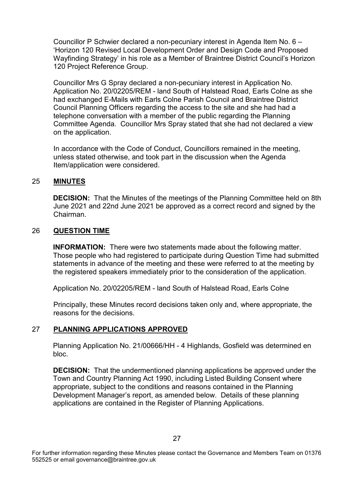Councillor P Schwier declared a non-pecuniary interest in Agenda Item No. 6 – 'Horizon 120 Revised Local Development Order and Design Code and Proposed Wayfinding Strategy' in his role as a Member of Braintree District Council's Horizon 120 Project Reference Group.

Councillor Mrs G Spray declared a non-pecuniary interest in Application No. Application No. 20/02205/REM - land South of Halstead Road, Earls Colne as she had exchanged E-Mails with Earls Colne Parish Council and Braintree District Council Planning Officers regarding the access to the site and she had had a telephone conversation with a member of the public regarding the Planning Committee Agenda. Councillor Mrs Spray stated that she had not declared a view on the application.

In accordance with the Code of Conduct, Councillors remained in the meeting, unless stated otherwise, and took part in the discussion when the Agenda Item/application were considered.

### 25 **MINUTES**

**DECISION:** That the Minutes of the meetings of the Planning Committee held on 8th June 2021 and 22nd June 2021 be approved as a correct record and signed by the Chairman.

#### 26 **QUESTION TIME**

**INFORMATION:** There were two statements made about the following matter. Those people who had registered to participate during Question Time had submitted statements in advance of the meeting and these were referred to at the meeting by the registered speakers immediately prior to the consideration of the application.

Application No. 20/02205/REM - land South of Halstead Road, Earls Colne

Principally, these Minutes record decisions taken only and, where appropriate, the reasons for the decisions.

# 27 **PLANNING APPLICATIONS APPROVED**

Planning Application No. 21/00666/HH - 4 Highlands, Gosfield was determined en bloc.

**DECISION:** That the undermentioned planning applications be approved under the Town and Country Planning Act 1990, including Listed Building Consent where appropriate, subject to the conditions and reasons contained in the Planning Development Manager's report, as amended below. Details of these planning applications are contained in the Register of Planning Applications.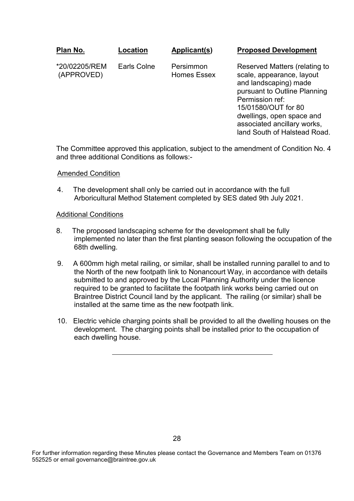| Plan No.                    | Location    | Applicant(s)                    | <b>Proposed Development</b>                                                                                                                                                                                               |
|-----------------------------|-------------|---------------------------------|---------------------------------------------------------------------------------------------------------------------------------------------------------------------------------------------------------------------------|
| *20/02205/REM<br>(APPROVED) | Earls Colne | Persimmon<br><b>Homes Essex</b> | Reserved Matters (relating to<br>scale, appearance, layout<br>and landscaping) made<br>pursuant to Outline Planning<br>Permission ref:<br>15/01580/OUT for 80<br>dwellings, open space and<br>associated ancillary works, |

The Committee approved this application, subject to the amendment of Condition No. 4 and three additional Conditions as follows:-

land South of Halstead Road.

#### Amended Condition

4. The development shall only be carried out in accordance with the full Arboricultural Method Statement completed by SES dated 9th July 2021.

#### Additional Conditions

- 8. The proposed landscaping scheme for the development shall be fully implemented no later than the first planting season following the occupation of the 68th dwelling.
- 9. A 600mm high metal railing, or similar, shall be installed running parallel to and to the North of the new footpath link to Nonancourt Way, in accordance with details submitted to and approved by the Local Planning Authority under the licence required to be granted to facilitate the footpath link works being carried out on Braintree District Council land by the applicant. The railing (or similar) shall be installed at the same time as the new footpath link.
- 10. Electric vehicle charging points shall be provided to all the dwelling houses on the development. The charging points shall be installed prior to the occupation of each dwelling house.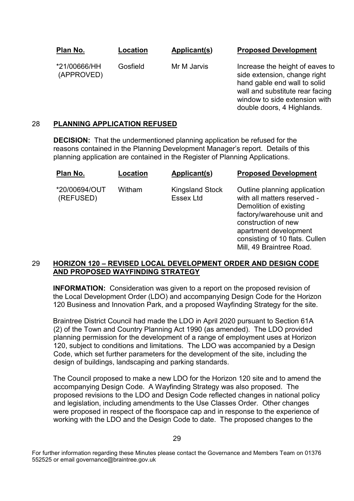**Plan No.**

**Location**

**Applicant(s)**

**Proposed Development**

Mill, 49 Braintree Road.

\*21/00666/HH (APPROVED) Gosfield

Mr M Jarvis

Increase the height of eaves to side extension, change right hand gable end wall to solid wall and substitute rear facing window to side extension with double doors, 4 Highlands.

# 28 **PLANNING APPLICATION REFUSED**

**DECISION:** That the undermentioned planning application be refused for the reasons contained in the Planning Development Manager's report. Details of this planning application are contained in the Register of Planning Applications.

| Plan No.                   | Location | Applicant(s)                               | <b>Proposed Development</b>                                                                                                                                                                           |
|----------------------------|----------|--------------------------------------------|-------------------------------------------------------------------------------------------------------------------------------------------------------------------------------------------------------|
| *20/00694/OUT<br>(REFUSED) | Witham   | <b>Kingsland Stock</b><br><b>Essex Ltd</b> | Outline planning application<br>with all matters reserved -<br>Demolition of existing<br>factory/warehouse unit and<br>construction of new<br>apartment development<br>consisting of 10 flats. Cullen |

# 29 **HORIZON 120 – REVISED LOCAL DEVELOPMENT ORDER AND DESIGN CODE AND PROPOSED WAYFINDING STRATEGY**

**INFORMATION:** Consideration was given to a report on the proposed revision of the Local Development Order (LDO) and accompanying Design Code for the Horizon 120 Business and Innovation Park, and a proposed Wayfinding Strategy for the site.

Braintree District Council had made the LDO in April 2020 pursuant to Section 61A (2) of the Town and Country Planning Act 1990 (as amended). The LDO provided planning permission for the development of a range of employment uses at Horizon 120, subject to conditions and limitations. The LDO was accompanied by a Design Code, which set further parameters for the development of the site, including the design of buildings, landscaping and parking standards.

The Council proposed to make a new LDO for the Horizon 120 site and to amend the accompanying Design Code. A Wayfinding Strategy was also proposed. The proposed revisions to the LDO and Design Code reflected changes in national policy and legislation, including amendments to the Use Classes Order. Other changes were proposed in respect of the floorspace cap and in response to the experience of working with the LDO and the Design Code to date. The proposed changes to the

For further information regarding these Minutes please contact the Governance and Members Team on 01376 552525 or email governance@braintree.gov.uk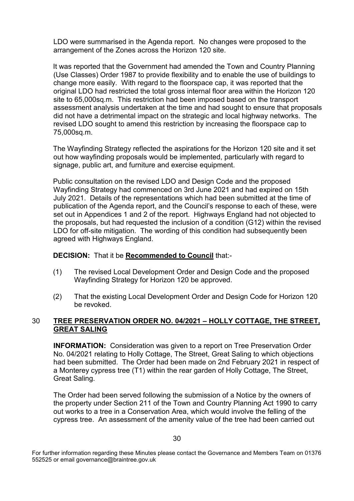LDO were summarised in the Agenda report. No changes were proposed to the arrangement of the Zones across the Horizon 120 site.

It was reported that the Government had amended the Town and Country Planning (Use Classes) Order 1987 to provide flexibility and to enable the use of buildings to change more easily. With regard to the floorspace cap, it was reported that the original LDO had restricted the total gross internal floor area within the Horizon 120 site to 65,000sq.m. This restriction had been imposed based on the transport assessment analysis undertaken at the time and had sought to ensure that proposals did not have a detrimental impact on the strategic and local highway networks. The revised LDO sought to amend this restriction by increasing the floorspace cap to 75,000sq.m.

The Wayfinding Strategy reflected the aspirations for the Horizon 120 site and it set out how wayfinding proposals would be implemented, particularly with regard to signage, public art, and furniture and exercise equipment.

Public consultation on the revised LDO and Design Code and the proposed Wayfinding Strategy had commenced on 3rd June 2021 and had expired on 15th July 2021. Details of the representations which had been submitted at the time of publication of the Agenda report, and the Council's response to each of these, were set out in Appendices 1 and 2 of the report. Highways England had not objected to the proposals, but had requested the inclusion of a condition (G12) within the revised LDO for off-site mitigation. The wording of this condition had subsequently been agreed with Highways England.

# **DECISION:** That it be **Recommended to Council** that:-

- (1) The revised Local Development Order and Design Code and the proposed Wayfinding Strategy for Horizon 120 be approved.
- (2) That the existing Local Development Order and Design Code for Horizon 120 be revoked.

# 30 **TREE PRESERVATION ORDER NO. 04/2021 – HOLLY COTTAGE, THE STREET, GREAT SALING**

**INFORMATION:** Consideration was given to a report on Tree Preservation Order No. 04/2021 relating to Holly Cottage, The Street, Great Saling to which objections had been submitted. The Order had been made on 2nd February 2021 in respect of a Monterey cypress tree (T1) within the rear garden of Holly Cottage, The Street, Great Saling.

The Order had been served following the submission of a Notice by the owners of the property under Section 211 of the Town and Country Planning Act 1990 to carry out works to a tree in a Conservation Area, which would involve the felling of the cypress tree. An assessment of the amenity value of the tree had been carried out

For further information regarding these Minutes please contact the Governance and Members Team on 01376 552525 or email governance@braintree.gov.uk